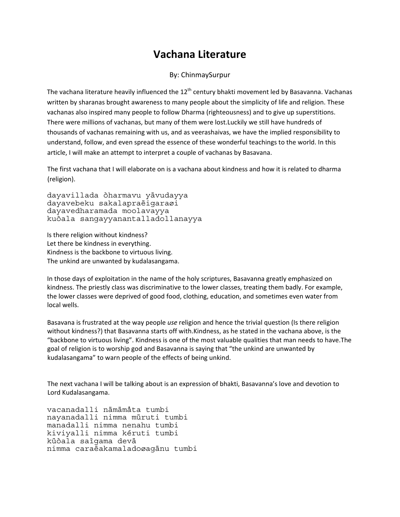## **Vachana Literature**

## By: ChinmaySurpur

The vachana literature heavily influenced the  $12<sup>th</sup>$  century bhakti movement led by Basavanna. Vachanas written by sharanas brought awareness to many people about the simplicity of life and religion. These vachanas also inspired many people to follow Dharma (righteousness) and to give up superstitions. There were millions of vachanas, but many of them were lost.Luckily we still have hundreds of thousands of vachanas remaining with us, and as veerashaivas, we have the implied responsibility to understand, follow, and even spread the essence of these wonderful teachings to the world. In this article, I will make an attempt to interpret a couple of vachanas by Basavana.

The first vachana that I will elaborate on is a vachana about kindness and how it is related to dharma (religion).

dayavillada òharmavu yävudayya dayavebeku sakalapraëigaraøi dayavedharamada moolavayya kuòala sangayyanantalladollanayya

Is there religion without kindness? Let there be kindness in everything. Kindness is the backbone to virtuous living. The unkind are unwanted by kudalasangama.

In those days of exploitation in the name of the holy scriptures, Basavanna greatly emphasized on kindness. The priestly class was discriminative to the lower classes, treating them badly. For example, the lower classes were deprived of good food, clothing, education, and sometimes even water from local wells.

Basavana is frustrated at the way people *use* religion and hence the trivial question (Is there religion without kindness?) that Basavanna starts off with.Kindness, as he stated in the vachana above, is the "backbone to virtuous living". Kindness is one of the most valuable qualities that man needs to have.The goal of religion is to worship god and Basavanna is saying that "the unkind are unwanted by kudalasangama" to warn people of the effects of being unkind.

The next vachana I will be talking about is an expression of bhakti, Basavanna's love and devotion to Lord Kudalasangama.

vacanadalli nämämåta tumbi nayanadalli nimma müruti tumbi manadalli nimma nenahu tumbi kiviyalli nimma kéruti tumbi küòala saìgama devä nimma caraëakamaladoøagänu tumbi